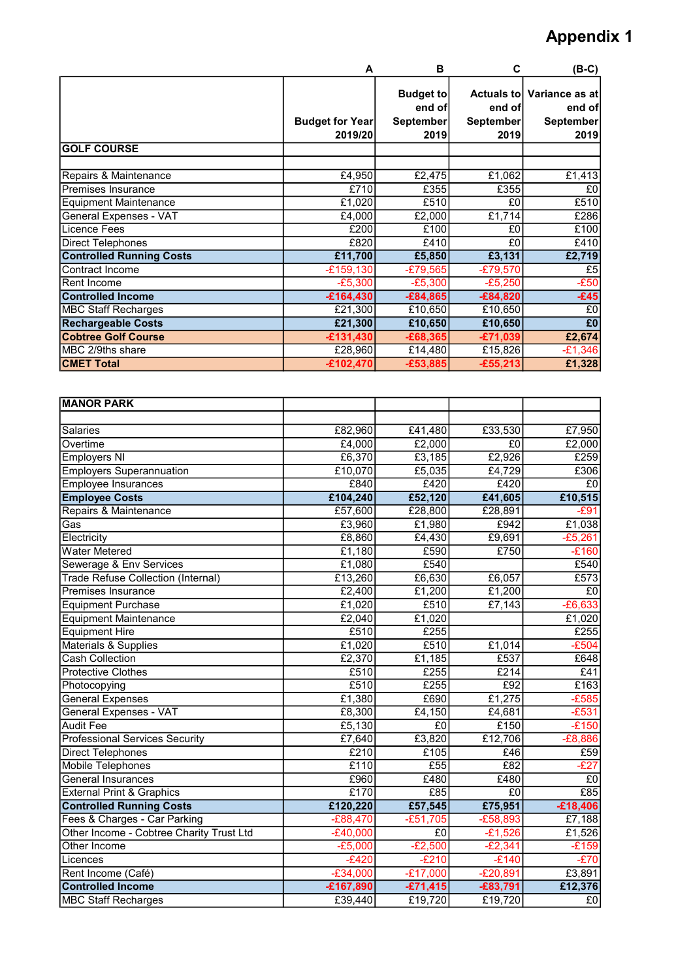## Appendix 1

|                                 | A                      | В                          | C                    | $(B-C)$                  |
|---------------------------------|------------------------|----------------------------|----------------------|--------------------------|
|                                 |                        | <b>Budget to</b><br>end of | Actuals to<br>end of | Variance as at<br>end of |
|                                 | <b>Budget for Year</b> | <b>September</b>           | September            | September                |
|                                 | 2019/20                | 2019                       | 2019                 | 2019                     |
| <b>GOLF COURSE</b>              |                        |                            |                      |                          |
|                                 |                        |                            |                      |                          |
| Repairs & Maintenance           | £4,950                 | £2,475                     | £1,062               | £1,413                   |
| lPremises Insurance             | £710                   | £355                       | £355                 | £0                       |
| <b>Equipment Maintenance</b>    | £1,020                 | £510                       | £0                   | £510                     |
| General Expenses - VAT          | £4,000                 | £2,000                     | £1,714               | £286                     |
| Licence Fees                    | £200                   | £100                       | £0                   | £100                     |
| Direct Telephones               | £820                   | £410                       | £0                   | £410                     |
| <b>Controlled Running Costs</b> | £11,700                | £5,850                     | £3,131               | £2,719                   |
| Contract Income                 | $-E159,130$            | $-E79,565$                 | $-£79,570$           | £5                       |
| IRent Income                    | $-E5,300$              | $-£5,300$                  | $-£5,250$            | $-E50$                   |
| <b>Controlled Income</b>        | $-£164,430$            | $-£84,865$                 | $-£84,820$           | $-£45$                   |
| <b>MBC Staff Recharges</b>      | £21,300                | £10,650                    | £10,650              | £0                       |
| <b>Rechargeable Costs</b>       | £21,300                | £10,650                    | £10,650              | £0                       |
| <b>Cobtree Golf Course</b>      | $-£131,430$            | $-£68,365$                 | $-£71,039$           | £2,674                   |
| MBC 2/9ths share                | £28,960                | £14,480                    | £15,826              | $-£1,346$                |
| <b>CMET Total</b>               | $-£102,470$            | $-£53,885$                 | $-£55,213$           | £1,328                   |

| <b>MANOR PARK</b>                         |             |            |            |                    |
|-------------------------------------------|-------------|------------|------------|--------------------|
|                                           |             |            |            |                    |
| <b>Salaries</b>                           | £82,960     | £41,480    | £33,530    | £7,950             |
| Overtime                                  | £4,000      | £2,000     | £0         | £2,000             |
| <b>Employers NI</b>                       | £6,370      | £3,185     | £2,926     | £259               |
| <b>Employers Superannuation</b>           | £10,070     | £5,035     | £4,729     | E306               |
| <b>Employee Insurances</b>                | £840        | £420       | E420       | $E_0$              |
| <b>Employee Costs</b>                     | £104,240    | £52,120    | £41,605    | £10,515            |
| Repairs & Maintenance                     | £57,600     | £28,800    | £28,891    | $-E91$             |
| Gas                                       | £3,960      | £1,980     | £942       | £1,038             |
| Electricity                               | £8,860      | £4,430     | £9,691     | $-E5,261$          |
| <b>Water Metered</b>                      | £1,180      | £590       | £750       | $-£160$            |
| Sewerage & Env Services                   | £1,080      | £540       |            | £540               |
| <b>Trade Refuse Collection (Internal)</b> | £13,260     | £6,630     | £6,057     | £573               |
| <b>Premises Insurance</b>                 | £2,400      | £1,200     | £1,200     | £0                 |
| <b>Equipment Purchase</b>                 | £1,020      | E510       | E7,143     | $-E6,633$          |
| <b>Equipment Maintenance</b>              | £2,040      | £1,020     |            | £1,020             |
| <b>Equipment Hire</b>                     | E510        | E255       |            | £255               |
| Materials & Supplies                      | £1,020      | £510       | £1,014     | $-E504$            |
| <b>Cash Collection</b>                    | £2,370      | £1,185     | £537       | £648               |
| <b>Protective Clothes</b>                 | £510        | E255       | £214       | £41                |
| Photocopying                              | E510        | E255       | E92        | E163               |
| <b>General Expenses</b>                   | £1,380      | £690       | £1,275     | $-E585$            |
| <b>General Expenses - VAT</b>             | £8,300      | £4,150     | £4,681     | $-E531$            |
| <b>Audit Fee</b>                          | £5,130      | £0         | £150       | $-E150$            |
| <b>Professional Services Security</b>     | £7,640      | £3,820     | £12,706    | $-E8,886$          |
| Direct Telephones                         | £210        | £105       | £46        | E59                |
| <b>Mobile Telephones</b>                  | E110        | E55        | £82        | $-E27$             |
| <b>General Insurances</b>                 | £960        | £480       | £480       | E <sub>0</sub>     |
| <b>External Print &amp; Graphics</b>      | £170        | E85        | $E_0$      | E85                |
| <b>Controlled Running Costs</b>           | £120,220    | £57,545    | £75,951    | $-£18,406$         |
| Fees & Charges - Car Parking              | $-E88,470$  | $-£51,705$ | $-E58,893$ | £7,188             |
| Other Income - Cobtree Charity Trust Ltd  | $-E40,000$  | £0         | $-£1,526$  | £1,526             |
| Other Income                              | $-E5,000$   | $-E2,500$  | $-E2,341$  | $\overline{-E159}$ |
| Licences                                  | $-E420$     | $-E210$    | $-E140$    | $-E70$             |
| Rent Income (Café)                        | $-E34,000$  | $-£17,000$ | $-E20,891$ | E3,891             |
| <b>Controlled Income</b>                  | $-£167,890$ | $-£71,415$ | $-£83,791$ | £12,376            |
| <b>MBC Staff Recharges</b>                | £39,440     | £19,720    | £19,720    | $E_0$              |